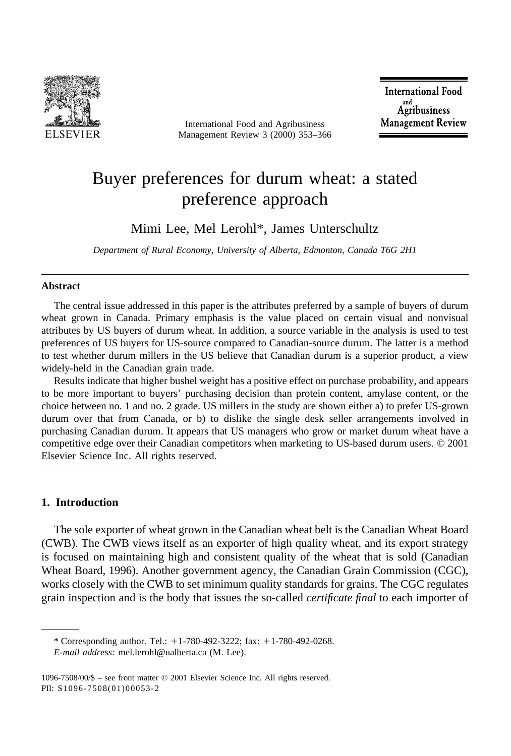

International Food and Agribusiness Management Review 3 (2000) 353–366

**International Food** Agribusiness **Management Review** 

# Buyer preferences for durum wheat: a stated preference approach

Mimi Lee, Mel Lerohl\*, James Unterschultz

*Department of Rural Economy, University of Alberta, Edmonton, Canada T6G 2H1*

#### **Abstract**

The central issue addressed in this paper is the attributes preferred by a sample of buyers of durum wheat grown in Canada. Primary emphasis is the value placed on certain visual and nonvisual attributes by US buyers of durum wheat. In addition, a source variable in the analysis is used to test preferences of US buyers for US-source compared to Canadian-source durum. The latter is a method to test whether durum millers in the US believe that Canadian durum is a superior product, a view widely-held in the Canadian grain trade.

Results indicate that higher bushel weight has a positive effect on purchase probability, and appears to be more important to buyers' purchasing decision than protein content, amylase content, or the choice between no. 1 and no. 2 grade. US millers in the study are shown either a) to prefer US-grown durum over that from Canada, or b) to dislike the single desk seller arrangements involved in purchasing Canadian durum. It appears that US managers who grow or market durum wheat have a competitive edge over their Canadian competitors when marketing to US-based durum users. © 2001 Elsevier Science Inc. All rights reserved.

## **1. Introduction**

The sole exporter of wheat grown in the Canadian wheat belt is the Canadian Wheat Board (CWB). The CWB views itself as an exporter of high quality wheat, and its export strategy is focused on maintaining high and consistent quality of the wheat that is sold (Canadian Wheat Board, 1996). Another government agency, the Canadian Grain Commission (CGC), works closely with the CWB to set minimum quality standards for grains. The CGC regulates grain inspection and is the body that issues the so-called *certificate final* to each importer of

<sup>\*</sup> Corresponding author. Tel.: 1-780-492-3222; fax: 1-780-492-0268. *E-mail address:* mel.lerohl@ualberta.ca (M. Lee).

<sup>1096-7508/00/\$ –</sup> see front matter © 2001 Elsevier Science Inc. All rights reserved. PII: S1096-7508(01)00053-2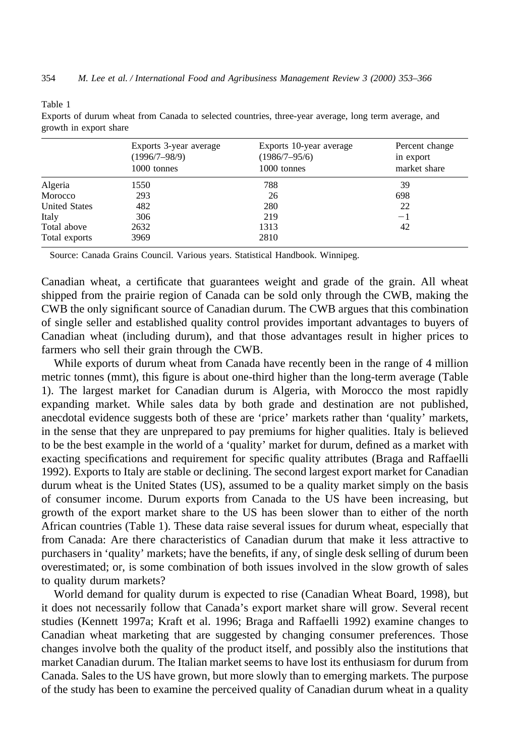|                      | Exports 3-year average<br>$(1996/7 - 98/9)$ | Exports 10-year average<br>$(1986/7 - 95/6)$ | Percent change<br>in export |
|----------------------|---------------------------------------------|----------------------------------------------|-----------------------------|
|                      |                                             |                                              |                             |
|                      | 1000 tonnes                                 | 1000 tonnes                                  | market share                |
| Algeria              | 1550                                        | 788                                          | 39                          |
| Morocco              | 293                                         | 26                                           | 698                         |
| <b>United States</b> | 482                                         | 280                                          | 22                          |
| Italy                | 306                                         | 219                                          | $-1$                        |
| Total above          | 2632                                        | 1313                                         | 42                          |
| Total exports        | 3969                                        | 2810                                         |                             |
|                      |                                             |                                              |                             |

Exports of durum wheat from Canada to selected countries, three-year average, long term average, and growth in export share

Source: Canada Grains Council. Various years. Statistical Handbook. Winnipeg.

Table 1

Canadian wheat, a certificate that guarantees weight and grade of the grain. All wheat shipped from the prairie region of Canada can be sold only through the CWB, making the CWB the only significant source of Canadian durum. The CWB argues that this combination of single seller and established quality control provides important advantages to buyers of Canadian wheat (including durum), and that those advantages result in higher prices to farmers who sell their grain through the CWB.

While exports of durum wheat from Canada have recently been in the range of 4 million metric tonnes (mmt), this figure is about one-third higher than the long-term average (Table 1). The largest market for Canadian durum is Algeria, with Morocco the most rapidly expanding market. While sales data by both grade and destination are not published, anecdotal evidence suggests both of these are 'price' markets rather than 'quality' markets, in the sense that they are unprepared to pay premiums for higher qualities. Italy is believed to be the best example in the world of a 'quality' market for durum, defined as a market with exacting specifications and requirement for specific quality attributes (Braga and Raffaelli 1992). Exports to Italy are stable or declining. The second largest export market for Canadian durum wheat is the United States (US), assumed to be a quality market simply on the basis of consumer income. Durum exports from Canada to the US have been increasing, but growth of the export market share to the US has been slower than to either of the north African countries (Table 1). These data raise several issues for durum wheat, especially that from Canada: Are there characteristics of Canadian durum that make it less attractive to purchasers in 'quality' markets; have the benefits, if any, of single desk selling of durum been overestimated; or, is some combination of both issues involved in the slow growth of sales to quality durum markets?

World demand for quality durum is expected to rise (Canadian Wheat Board, 1998), but it does not necessarily follow that Canada's export market share will grow. Several recent studies (Kennett 1997a; Kraft et al. 1996; Braga and Raffaelli 1992) examine changes to Canadian wheat marketing that are suggested by changing consumer preferences. Those changes involve both the quality of the product itself, and possibly also the institutions that market Canadian durum. The Italian market seems to have lost its enthusiasm for durum from Canada. Sales to the US have grown, but more slowly than to emerging markets. The purpose of the study has been to examine the perceived quality of Canadian durum wheat in a quality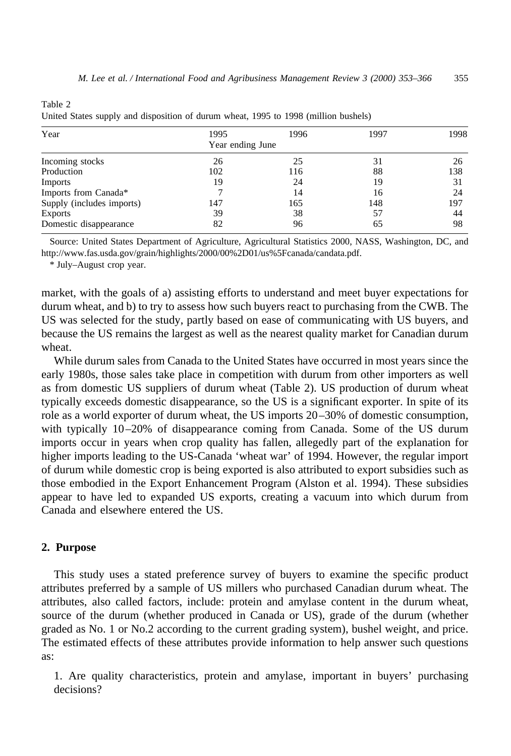| Year                      | 1995             | 1996 | 1997 | 1998 |
|---------------------------|------------------|------|------|------|
|                           | Year ending June |      |      |      |
| Incoming stocks           | 26               | 25   | 31   | 26   |
| Production                | 102              | 116  | 88   | 138  |
| Imports                   | 19               | 24   | 19   | 31   |
| Imports from Canada*      |                  | 14   | 16   | 24   |
| Supply (includes imports) | 147              | 165  | 148  | 197  |
| <b>Exports</b>            | 39               | 38   | 57   | 44   |
| Domestic disappearance    | 82               | 96   | 65   | 98   |
|                           |                  |      |      |      |

United States supply and disposition of durum wheat, 1995 to 1998 (million bushels)

Source: United States Department of Agriculture, Agricultural Statistics 2000, NASS, Washington, DC, and http://www.fas.usda.gov/grain/highlights/2000/00%2D01/us%5Fcanada/candata.pdf.

\* July–August crop year.

Table 2

market, with the goals of a) assisting efforts to understand and meet buyer expectations for durum wheat, and b) to try to assess how such buyers react to purchasing from the CWB. The US was selected for the study, partly based on ease of communicating with US buyers, and because the US remains the largest as well as the nearest quality market for Canadian durum wheat.

While durum sales from Canada to the United States have occurred in most years since the early 1980s, those sales take place in competition with durum from other importers as well as from domestic US suppliers of durum wheat (Table 2). US production of durum wheat typically exceeds domestic disappearance, so the US is a significant exporter. In spite of its role as a world exporter of durum wheat, the US imports 20–30% of domestic consumption, with typically 10–20% of disappearance coming from Canada. Some of the US durum imports occur in years when crop quality has fallen, allegedly part of the explanation for higher imports leading to the US-Canada 'wheat war' of 1994. However, the regular import of durum while domestic crop is being exported is also attributed to export subsidies such as those embodied in the Export Enhancement Program (Alston et al. 1994). These subsidies appear to have led to expanded US exports, creating a vacuum into which durum from Canada and elsewhere entered the US.

# **2. Purpose**

This study uses a stated preference survey of buyers to examine the specific product attributes preferred by a sample of US millers who purchased Canadian durum wheat. The attributes, also called factors, include: protein and amylase content in the durum wheat, source of the durum (whether produced in Canada or US), grade of the durum (whether graded as No. 1 or No.2 according to the current grading system), bushel weight, and price. The estimated effects of these attributes provide information to help answer such questions as:

1. Are quality characteristics, protein and amylase, important in buyers' purchasing decisions?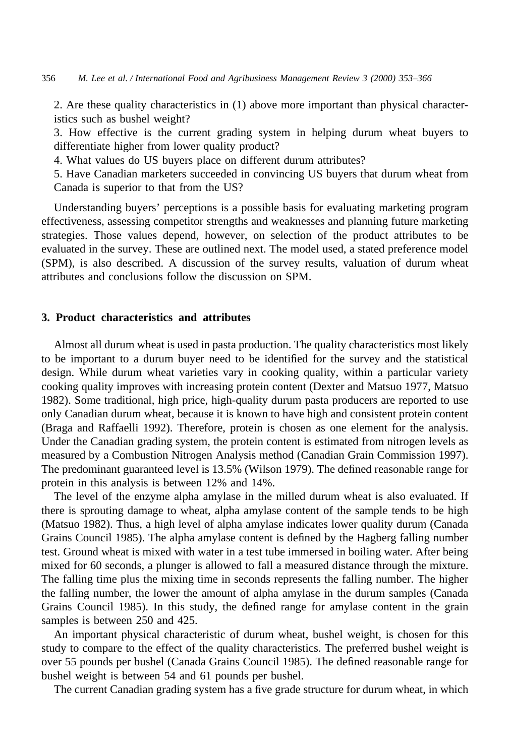2. Are these quality characteristics in (1) above more important than physical characteristics such as bushel weight?

3. How effective is the current grading system in helping durum wheat buyers to differentiate higher from lower quality product?

4. What values do US buyers place on different durum attributes?

5. Have Canadian marketers succeeded in convincing US buyers that durum wheat from Canada is superior to that from the US?

Understanding buyers' perceptions is a possible basis for evaluating marketing program effectiveness, assessing competitor strengths and weaknesses and planning future marketing strategies. Those values depend, however, on selection of the product attributes to be evaluated in the survey. These are outlined next. The model used, a stated preference model (SPM), is also described. A discussion of the survey results, valuation of durum wheat attributes and conclusions follow the discussion on SPM.

#### **3. Product characteristics and attributes**

Almost all durum wheat is used in pasta production. The quality characteristics most likely to be important to a durum buyer need to be identified for the survey and the statistical design. While durum wheat varieties vary in cooking quality, within a particular variety cooking quality improves with increasing protein content (Dexter and Matsuo 1977, Matsuo 1982). Some traditional, high price, high-quality durum pasta producers are reported to use only Canadian durum wheat, because it is known to have high and consistent protein content (Braga and Raffaelli 1992). Therefore, protein is chosen as one element for the analysis. Under the Canadian grading system, the protein content is estimated from nitrogen levels as measured by a Combustion Nitrogen Analysis method (Canadian Grain Commission 1997). The predominant guaranteed level is 13.5% (Wilson 1979). The defined reasonable range for protein in this analysis is between 12% and 14%.

The level of the enzyme alpha amylase in the milled durum wheat is also evaluated. If there is sprouting damage to wheat, alpha amylase content of the sample tends to be high (Matsuo 1982). Thus, a high level of alpha amylase indicates lower quality durum (Canada Grains Council 1985). The alpha amylase content is defined by the Hagberg falling number test. Ground wheat is mixed with water in a test tube immersed in boiling water. After being mixed for 60 seconds, a plunger is allowed to fall a measured distance through the mixture. The falling time plus the mixing time in seconds represents the falling number. The higher the falling number, the lower the amount of alpha amylase in the durum samples (Canada Grains Council 1985). In this study, the defined range for amylase content in the grain samples is between 250 and 425.

An important physical characteristic of durum wheat, bushel weight, is chosen for this study to compare to the effect of the quality characteristics. The preferred bushel weight is over 55 pounds per bushel (Canada Grains Council 1985). The defined reasonable range for bushel weight is between 54 and 61 pounds per bushel.

The current Canadian grading system has a five grade structure for durum wheat, in which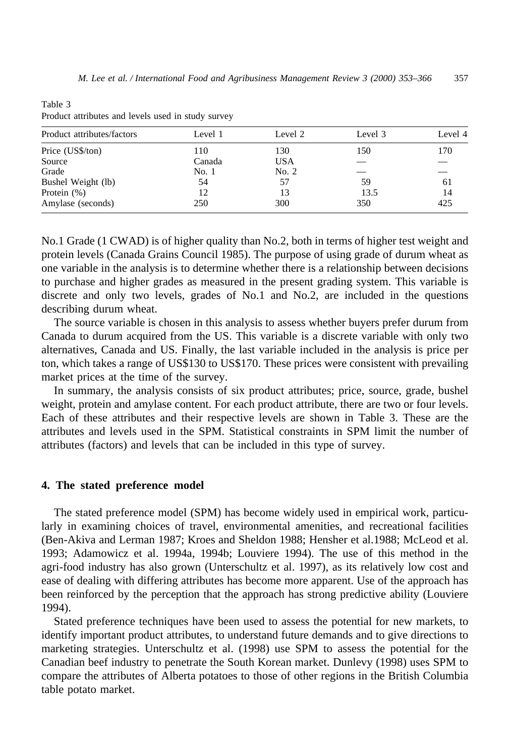| Product attributes/factors | Level 1 | Level 2 | Level 3 | Level 4 |
|----------------------------|---------|---------|---------|---------|
| Price (US\$/ton)           | 110     | 130     | 150     | 170     |
| Source                     | Canada  | USA     |         |         |
| Grade                      | No. 1   | No. 2   |         |         |
| Bushel Weight (lb)         | 54      | 57      | 59      | 61      |
| Protein $(\%)$             | 12      | 13      | 13.5    | 14      |
| Amylase (seconds)          | 250     | 300     | 350     | 425     |

Table 3 Product attributes and levels used in study survey

No.1 Grade (1 CWAD) is of higher quality than No.2, both in terms of higher test weight and protein levels (Canada Grains Council 1985). The purpose of using grade of durum wheat as one variable in the analysis is to determine whether there is a relationship between decisions to purchase and higher grades as measured in the present grading system. This variable is discrete and only two levels, grades of No.1 and No.2, are included in the questions describing durum wheat.

The source variable is chosen in this analysis to assess whether buyers prefer durum from Canada to durum acquired from the US. This variable is a discrete variable with only two alternatives, Canada and US. Finally, the last variable included in the analysis is price per ton, which takes a range of US\$130 to US\$170. These prices were consistent with prevailing market prices at the time of the survey.

In summary, the analysis consists of six product attributes; price, source, grade, bushel weight, protein and amylase content. For each product attribute, there are two or four levels. Each of these attributes and their respective levels are shown in Table 3. These are the attributes and levels used in the SPM. Statistical constraints in SPM limit the number of attributes (factors) and levels that can be included in this type of survey.

## **4. The stated preference model**

The stated preference model (SPM) has become widely used in empirical work, particularly in examining choices of travel, environmental amenities, and recreational facilities (Ben-Akiva and Lerman 1987; Kroes and Sheldon 1988; Hensher et al.1988; McLeod et al. 1993; Adamowicz et al. 1994a, 1994b; Louviere 1994). The use of this method in the agri-food industry has also grown (Unterschultz et al. 1997), as its relatively low cost and ease of dealing with differing attributes has become more apparent. Use of the approach has been reinforced by the perception that the approach has strong predictive ability (Louviere 1994).

Stated preference techniques have been used to assess the potential for new markets, to identify important product attributes, to understand future demands and to give directions to marketing strategies. Unterschultz et al. (1998) use SPM to assess the potential for the Canadian beef industry to penetrate the South Korean market. Dunlevy (1998) uses SPM to compare the attributes of Alberta potatoes to those of other regions in the British Columbia table potato market.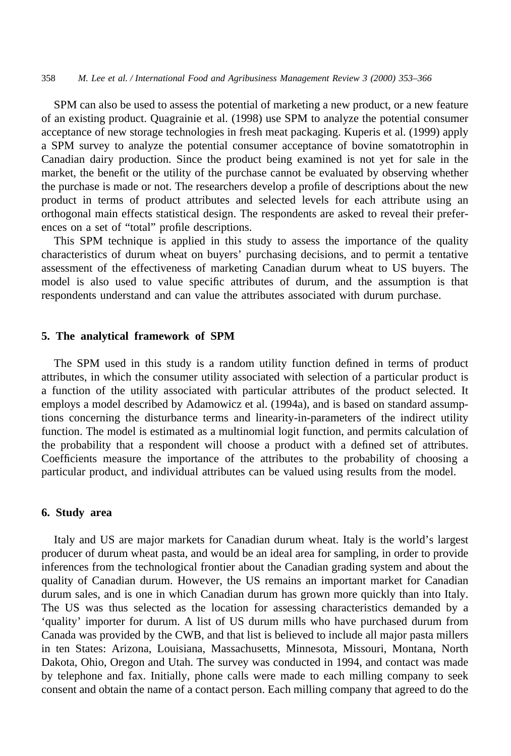SPM can also be used to assess the potential of marketing a new product, or a new feature of an existing product. Quagrainie et al. (1998) use SPM to analyze the potential consumer acceptance of new storage technologies in fresh meat packaging. Kuperis et al. (1999) apply a SPM survey to analyze the potential consumer acceptance of bovine somatotrophin in Canadian dairy production. Since the product being examined is not yet for sale in the market, the benefit or the utility of the purchase cannot be evaluated by observing whether the purchase is made or not. The researchers develop a profile of descriptions about the new product in terms of product attributes and selected levels for each attribute using an orthogonal main effects statistical design. The respondents are asked to reveal their preferences on a set of "total" profile descriptions.

This SPM technique is applied in this study to assess the importance of the quality characteristics of durum wheat on buyers' purchasing decisions, and to permit a tentative assessment of the effectiveness of marketing Canadian durum wheat to US buyers. The model is also used to value specific attributes of durum, and the assumption is that respondents understand and can value the attributes associated with durum purchase.

## **5. The analytical framework of SPM**

The SPM used in this study is a random utility function defined in terms of product attributes, in which the consumer utility associated with selection of a particular product is a function of the utility associated with particular attributes of the product selected. It employs a model described by Adamowicz et al. (1994a), and is based on standard assumptions concerning the disturbance terms and linearity-in-parameters of the indirect utility function. The model is estimated as a multinomial logit function, and permits calculation of the probability that a respondent will choose a product with a defined set of attributes. Coefficients measure the importance of the attributes to the probability of choosing a particular product, and individual attributes can be valued using results from the model.

### **6. Study area**

Italy and US are major markets for Canadian durum wheat. Italy is the world's largest producer of durum wheat pasta, and would be an ideal area for sampling, in order to provide inferences from the technological frontier about the Canadian grading system and about the quality of Canadian durum. However, the US remains an important market for Canadian durum sales, and is one in which Canadian durum has grown more quickly than into Italy. The US was thus selected as the location for assessing characteristics demanded by a 'quality' importer for durum. A list of US durum mills who have purchased durum from Canada was provided by the CWB, and that list is believed to include all major pasta millers in ten States: Arizona, Louisiana, Massachusetts, Minnesota, Missouri, Montana, North Dakota, Ohio, Oregon and Utah. The survey was conducted in 1994, and contact was made by telephone and fax. Initially, phone calls were made to each milling company to seek consent and obtain the name of a contact person. Each milling company that agreed to do the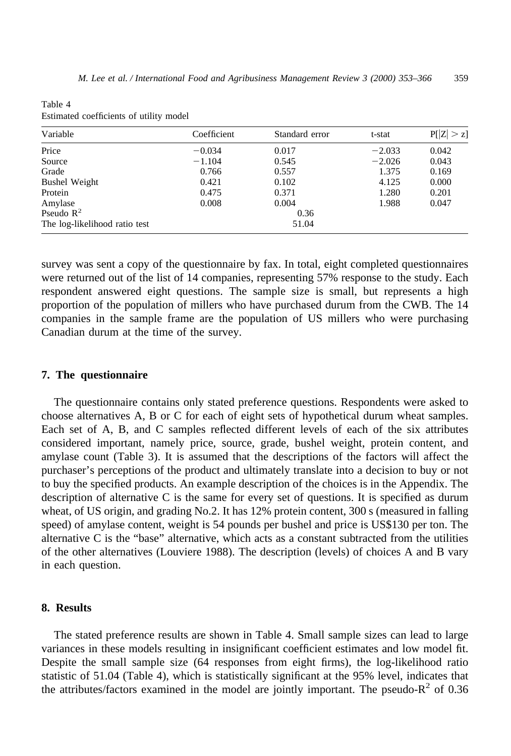| Estimated coefficients of utility model |             |                |          |                   |  |
|-----------------------------------------|-------------|----------------|----------|-------------------|--|
| Variable                                | Coefficient | Standard error | t-stat   | P[ Z ]<br>$> z$ ] |  |
| Price                                   | $-0.034$    | 0.017          | $-2.033$ | 0.042             |  |
| Source                                  | $-1.104$    | 0.545          | $-2.026$ | 0.043             |  |
| Grade                                   | 0.766       | 0.557          | 1.375    | 0.169             |  |
| <b>Bushel Weight</b>                    | 0.421       | 0.102          | 4.125    | 0.000             |  |

Pseudo  $\mathbb{R}^2$  0.36 The log-likelihood ratio test 51.04

Table 4

survey was sent a copy of the questionnaire by fax. In total, eight completed questionnaires were returned out of the list of 14 companies, representing 57% response to the study. Each respondent answered eight questions. The sample size is small, but represents a high proportion of the population of millers who have purchased durum from the CWB. The 14 companies in the sample frame are the population of US millers who were purchasing Canadian durum at the time of the survey.

Protein **1.280** 0.201 **1.280** 0.201 Amylase 0.008 0.004 1.988 0.047

#### **7. The questionnaire**

The questionnaire contains only stated preference questions. Respondents were asked to choose alternatives A, B or C for each of eight sets of hypothetical durum wheat samples. Each set of A, B, and C samples reflected different levels of each of the six attributes considered important, namely price, source, grade, bushel weight, protein content, and amylase count (Table 3). It is assumed that the descriptions of the factors will affect the purchaser's perceptions of the product and ultimately translate into a decision to buy or not to buy the specified products. An example description of the choices is in the Appendix. The description of alternative C is the same for every set of questions. It is specified as durum wheat, of US origin, and grading No.2. It has 12% protein content, 300 s (measured in falling speed) of amylase content, weight is 54 pounds per bushel and price is US\$130 per ton. The alternative C is the "base" alternative, which acts as a constant subtracted from the utilities of the other alternatives (Louviere 1988). The description (levels) of choices A and B vary in each question.

## **8. Results**

The stated preference results are shown in Table 4. Small sample sizes can lead to large variances in these models resulting in insignificant coefficient estimates and low model fit. Despite the small sample size (64 responses from eight firms), the log-likelihood ratio statistic of 51.04 (Table 4), which is statistically significant at the 95% level, indicates that the attributes/factors examined in the model are jointly important. The pseudo- $R^2$  of 0.36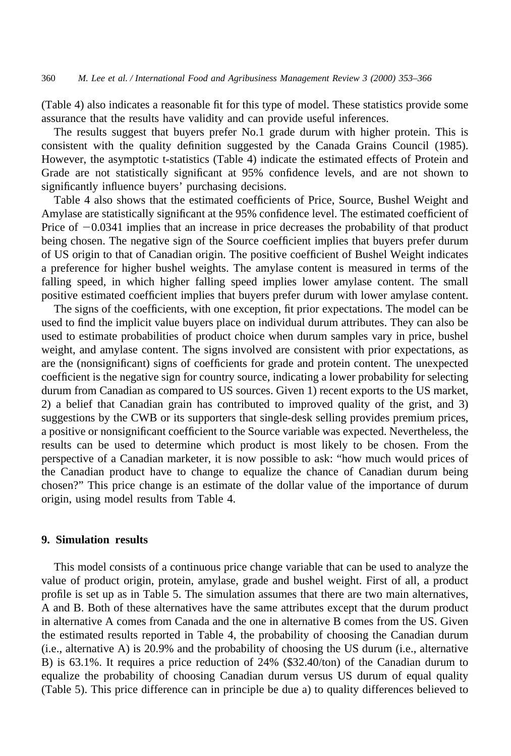(Table 4) also indicates a reasonable fit for this type of model. These statistics provide some assurance that the results have validity and can provide useful inferences.

The results suggest that buyers prefer No.1 grade durum with higher protein. This is consistent with the quality definition suggested by the Canada Grains Council (1985). However, the asymptotic t-statistics (Table 4) indicate the estimated effects of Protein and Grade are not statistically significant at 95% confidence levels, and are not shown to significantly influence buyers' purchasing decisions.

Table 4 also shows that the estimated coefficients of Price, Source, Bushel Weight and Amylase are statistically significant at the 95% confidence level. The estimated coefficient of Price of  $-0.0341$  implies that an increase in price decreases the probability of that product being chosen. The negative sign of the Source coefficient implies that buyers prefer durum of US origin to that of Canadian origin. The positive coefficient of Bushel Weight indicates a preference for higher bushel weights. The amylase content is measured in terms of the falling speed, in which higher falling speed implies lower amylase content. The small positive estimated coefficient implies that buyers prefer durum with lower amylase content.

The signs of the coefficients, with one exception, fit prior expectations. The model can be used to find the implicit value buyers place on individual durum attributes. They can also be used to estimate probabilities of product choice when durum samples vary in price, bushel weight, and amylase content. The signs involved are consistent with prior expectations, as are the (nonsignificant) signs of coefficients for grade and protein content. The unexpected coefficient is the negative sign for country source, indicating a lower probability for selecting durum from Canadian as compared to US sources. Given 1) recent exports to the US market, 2) a belief that Canadian grain has contributed to improved quality of the grist, and 3) suggestions by the CWB or its supporters that single-desk selling provides premium prices, a positive or nonsignificant coefficient to the Source variable was expected. Nevertheless, the results can be used to determine which product is most likely to be chosen. From the perspective of a Canadian marketer, it is now possible to ask: "how much would prices of the Canadian product have to change to equalize the chance of Canadian durum being chosen?" This price change is an estimate of the dollar value of the importance of durum origin, using model results from Table 4.

## **9. Simulation results**

This model consists of a continuous price change variable that can be used to analyze the value of product origin, protein, amylase, grade and bushel weight. First of all, a product profile is set up as in Table 5. The simulation assumes that there are two main alternatives, A and B. Both of these alternatives have the same attributes except that the durum product in alternative A comes from Canada and the one in alternative B comes from the US. Given the estimated results reported in Table 4, the probability of choosing the Canadian durum (i.e., alternative A) is 20.9% and the probability of choosing the US durum (i.e., alternative B) is 63.1%. It requires a price reduction of 24% (\$32.40/ton) of the Canadian durum to equalize the probability of choosing Canadian durum versus US durum of equal quality (Table 5). This price difference can in principle be due a) to quality differences believed to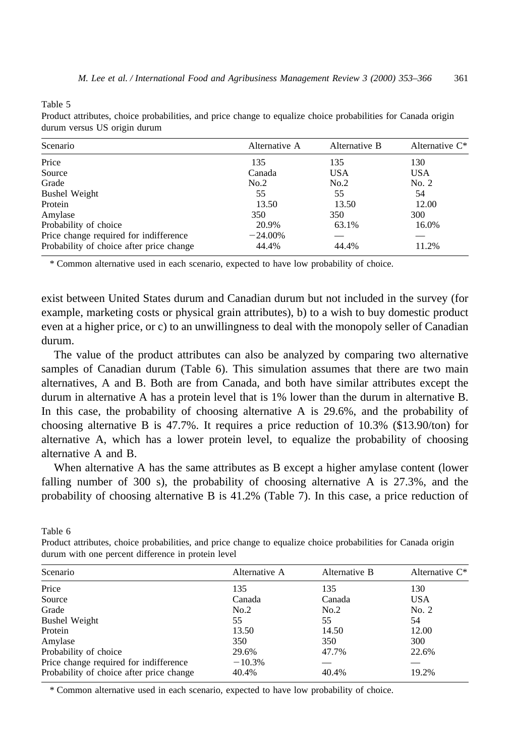Table 5

Product attributes, choice probabilities, and price change to equalize choice probabilities for Canada origin durum versus US origin durum

| Scenario                                 | Alternative A | Alternative B | Alternative C <sup>*</sup> |
|------------------------------------------|---------------|---------------|----------------------------|
| Price                                    | 135           | 135           | 130                        |
| Source                                   | Canada        | <b>USA</b>    | <b>USA</b>                 |
| Grade                                    | No.2          | No.2          | No. 2                      |
| <b>Bushel Weight</b>                     | 55            | 55            | 54                         |
| Protein                                  | 13.50         | 13.50         | 12.00                      |
| Amylase                                  | 350           | 350           | 300                        |
| Probability of choice                    | 20.9%         | 63.1%         | 16.0%                      |
| Price change required for indifference   | $-24.00\%$    |               |                            |
| Probability of choice after price change | 44.4%         | 44.4%         | 11.2%                      |

\* Common alternative used in each scenario, expected to have low probability of choice.

exist between United States durum and Canadian durum but not included in the survey (for example, marketing costs or physical grain attributes), b) to a wish to buy domestic product even at a higher price, or c) to an unwillingness to deal with the monopoly seller of Canadian durum.

The value of the product attributes can also be analyzed by comparing two alternative samples of Canadian durum (Table 6). This simulation assumes that there are two main alternatives, A and B. Both are from Canada, and both have similar attributes except the durum in alternative A has a protein level that is 1% lower than the durum in alternative B. In this case, the probability of choosing alternative A is 29.6%, and the probability of choosing alternative B is 47.7%. It requires a price reduction of 10.3% (\$13.90/ton) for alternative A, which has a lower protein level, to equalize the probability of choosing alternative A and B.

When alternative A has the same attributes as B except a higher amylase content (lower falling number of 300 s), the probability of choosing alternative A is 27.3%, and the probability of choosing alternative B is 41.2% (Table 7). In this case, a price reduction of

Table 6

Product attributes, choice probabilities, and price change to equalize choice probabilities for Canada origin durum with one percent difference in protein level

| Scenario                                 | Alternative A | Alternative B | Alternative C <sup>*</sup> |
|------------------------------------------|---------------|---------------|----------------------------|
| Price                                    | 135           | 135           | 130                        |
| Source                                   | Canada        | Canada        | <b>USA</b>                 |
| Grade                                    | No.2          | No.2          | No. 2                      |
| <b>Bushel Weight</b>                     | 55            | 55            | 54                         |
| Protein                                  | 13.50         | 14.50         | 12.00                      |
| Amylase                                  | 350           | 350           | 300                        |
| Probability of choice                    | 29.6%         | 47.7%         | 22.6%                      |
| Price change required for indifference   | $-10.3%$      |               |                            |
| Probability of choice after price change | 40.4%         | 40.4%         | 19.2%                      |
|                                          |               |               |                            |

\* Common alternative used in each scenario, expected to have low probability of choice.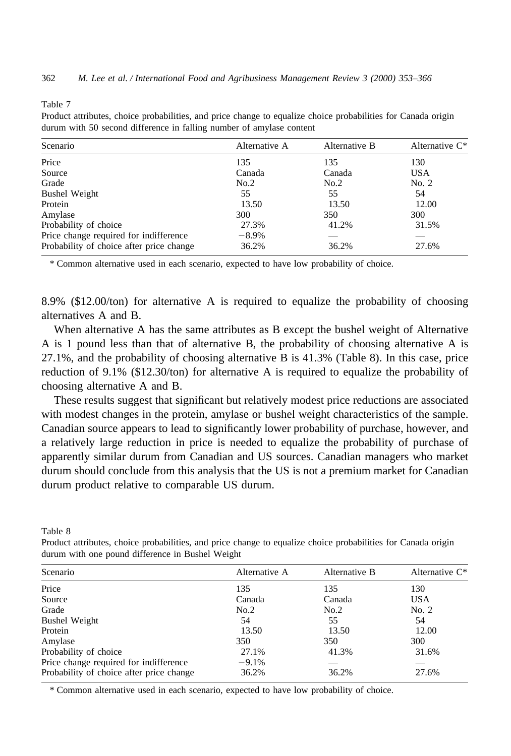Table 7

Product attributes, choice probabilities, and price change to equalize choice probabilities for Canada origin durum with 50 second difference in falling number of amylase content

| Scenario                                 | Alternative A | Alternative B | Alternative C* |
|------------------------------------------|---------------|---------------|----------------|
| Price                                    | 135           | 135           | 130            |
| Source                                   | Canada        | Canada        | <b>USA</b>     |
| Grade                                    | No.2          | No.2          | No. 2          |
| <b>Bushel Weight</b>                     | 55            | 55            | 54             |
| Protein                                  | 13.50         | 13.50         | 12.00          |
| Amylase                                  | 300           | 350           | 300            |
| Probability of choice                    | 27.3%         | 41.2%         | 31.5%          |
| Price change required for indifference   | $-8.9\%$      |               |                |
| Probability of choice after price change | 36.2%         | 36.2%         | 27.6%          |

\* Common alternative used in each scenario, expected to have low probability of choice.

8.9% (\$12.00/ton) for alternative A is required to equalize the probability of choosing alternatives A and B.

When alternative A has the same attributes as B except the bushel weight of Alternative A is 1 pound less than that of alternative B, the probability of choosing alternative A is 27.1%, and the probability of choosing alternative B is 41.3% (Table 8). In this case, price reduction of 9.1% (\$12.30/ton) for alternative A is required to equalize the probability of choosing alternative A and B.

These results suggest that significant but relatively modest price reductions are associated with modest changes in the protein, amylase or bushel weight characteristics of the sample. Canadian source appears to lead to significantly lower probability of purchase, however, and a relatively large reduction in price is needed to equalize the probability of purchase of apparently similar durum from Canadian and US sources. Canadian managers who market durum should conclude from this analysis that the US is not a premium market for Canadian durum product relative to comparable US durum.

Table 8

Product attributes, choice probabilities, and price change to equalize choice probabilities for Canada origin durum with one pound difference in Bushel Weight

| Scenario                                 | Alternative A | Alternative B | Alternative C <sup>*</sup> |
|------------------------------------------|---------------|---------------|----------------------------|
| Price                                    | 135           | 135           | 130                        |
| Source                                   | Canada        | Canada        | <b>USA</b>                 |
| Grade                                    | No.2          | No.2          | No. 2                      |
| <b>Bushel Weight</b>                     | 54            | 55            | 54                         |
| Protein                                  | 13.50         | 13.50         | 12.00                      |
| Amylase                                  | 350           | 350           | 300                        |
| Probability of choice                    | 27.1%         | 41.3%         | 31.6%                      |
| Price change required for indifference   | $-9.1%$       |               |                            |
| Probability of choice after price change | 36.2%         | 36.2%         | 27.6%                      |
|                                          |               |               |                            |

\* Common alternative used in each scenario, expected to have low probability of choice.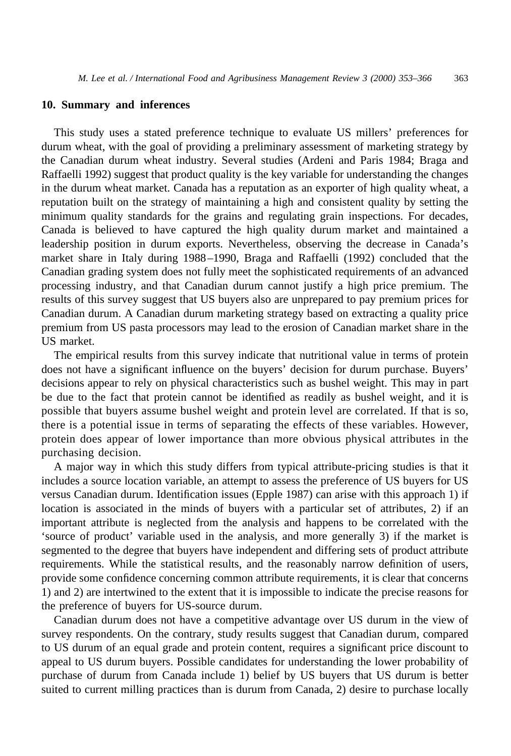#### **10. Summary and inferences**

This study uses a stated preference technique to evaluate US millers' preferences for durum wheat, with the goal of providing a preliminary assessment of marketing strategy by the Canadian durum wheat industry. Several studies (Ardeni and Paris 1984; Braga and Raffaelli 1992) suggest that product quality is the key variable for understanding the changes in the durum wheat market. Canada has a reputation as an exporter of high quality wheat, a reputation built on the strategy of maintaining a high and consistent quality by setting the minimum quality standards for the grains and regulating grain inspections. For decades, Canada is believed to have captured the high quality durum market and maintained a leadership position in durum exports. Nevertheless, observing the decrease in Canada's market share in Italy during 1988–1990, Braga and Raffaelli (1992) concluded that the Canadian grading system does not fully meet the sophisticated requirements of an advanced processing industry, and that Canadian durum cannot justify a high price premium. The results of this survey suggest that US buyers also are unprepared to pay premium prices for Canadian durum. A Canadian durum marketing strategy based on extracting a quality price premium from US pasta processors may lead to the erosion of Canadian market share in the US market.

The empirical results from this survey indicate that nutritional value in terms of protein does not have a significant influence on the buyers' decision for durum purchase. Buyers' decisions appear to rely on physical characteristics such as bushel weight. This may in part be due to the fact that protein cannot be identified as readily as bushel weight, and it is possible that buyers assume bushel weight and protein level are correlated. If that is so, there is a potential issue in terms of separating the effects of these variables. However, protein does appear of lower importance than more obvious physical attributes in the purchasing decision.

A major way in which this study differs from typical attribute-pricing studies is that it includes a source location variable, an attempt to assess the preference of US buyers for US versus Canadian durum. Identification issues (Epple 1987) can arise with this approach 1) if location is associated in the minds of buyers with a particular set of attributes, 2) if an important attribute is neglected from the analysis and happens to be correlated with the 'source of product' variable used in the analysis, and more generally 3) if the market is segmented to the degree that buyers have independent and differing sets of product attribute requirements. While the statistical results, and the reasonably narrow definition of users, provide some confidence concerning common attribute requirements, it is clear that concerns 1) and 2) are intertwined to the extent that it is impossible to indicate the precise reasons for the preference of buyers for US-source durum.

Canadian durum does not have a competitive advantage over US durum in the view of survey respondents. On the contrary, study results suggest that Canadian durum, compared to US durum of an equal grade and protein content, requires a significant price discount to appeal to US durum buyers. Possible candidates for understanding the lower probability of purchase of durum from Canada include 1) belief by US buyers that US durum is better suited to current milling practices than is durum from Canada, 2) desire to purchase locally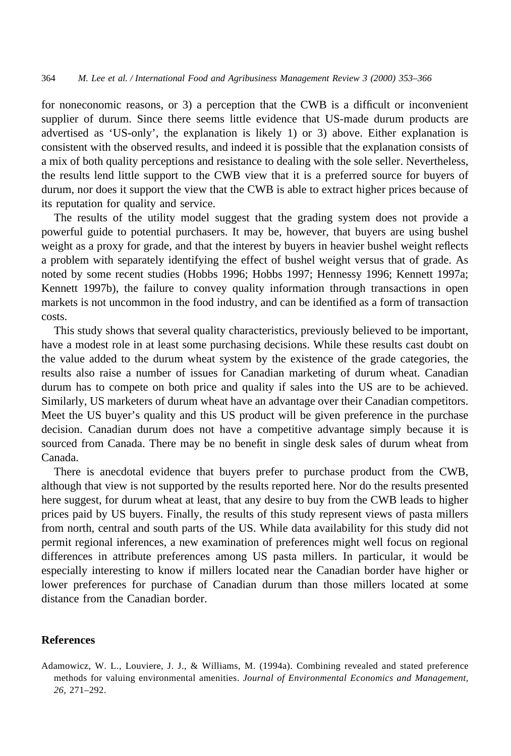for noneconomic reasons, or 3) a perception that the CWB is a difficult or inconvenient supplier of durum. Since there seems little evidence that US-made durum products are advertised as 'US-only', the explanation is likely 1) or 3) above. Either explanation is consistent with the observed results, and indeed it is possible that the explanation consists of a mix of both quality perceptions and resistance to dealing with the sole seller. Nevertheless, the results lend little support to the CWB view that it is a preferred source for buyers of durum, nor does it support the view that the CWB is able to extract higher prices because of its reputation for quality and service.

The results of the utility model suggest that the grading system does not provide a powerful guide to potential purchasers. It may be, however, that buyers are using bushel weight as a proxy for grade, and that the interest by buyers in heavier bushel weight reflects a problem with separately identifying the effect of bushel weight versus that of grade. As noted by some recent studies (Hobbs 1996; Hobbs 1997; Hennessy 1996; Kennett 1997a; Kennett 1997b), the failure to convey quality information through transactions in open markets is not uncommon in the food industry, and can be identified as a form of transaction costs.

This study shows that several quality characteristics, previously believed to be important, have a modest role in at least some purchasing decisions. While these results cast doubt on the value added to the durum wheat system by the existence of the grade categories, the results also raise a number of issues for Canadian marketing of durum wheat. Canadian durum has to compete on both price and quality if sales into the US are to be achieved. Similarly, US marketers of durum wheat have an advantage over their Canadian competitors. Meet the US buyer's quality and this US product will be given preference in the purchase decision. Canadian durum does not have a competitive advantage simply because it is sourced from Canada. There may be no benefit in single desk sales of durum wheat from Canada.

There is anecdotal evidence that buyers prefer to purchase product from the CWB, although that view is not supported by the results reported here. Nor do the results presented here suggest, for durum wheat at least, that any desire to buy from the CWB leads to higher prices paid by US buyers. Finally, the results of this study represent views of pasta millers from north, central and south parts of the US. While data availability for this study did not permit regional inferences, a new examination of preferences might well focus on regional differences in attribute preferences among US pasta millers. In particular, it would be especially interesting to know if millers located near the Canadian border have higher or lower preferences for purchase of Canadian durum than those millers located at some distance from the Canadian border.

## **References**

Adamowicz, W. L., Louviere, J. J., & Williams, M. (1994a). Combining revealed and stated preference methods for valuing environmental amenities. *Journal of Environmental Economics and Management, 26,* 271–292.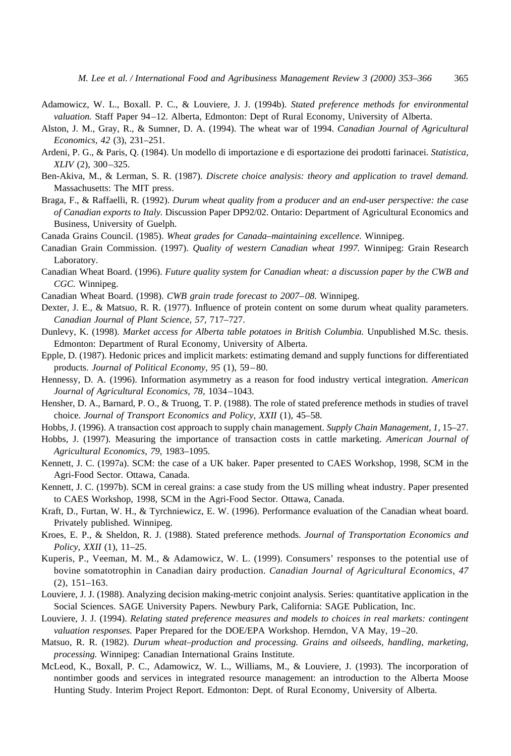- Adamowicz, W. L., Boxall. P. C., & Louviere, J. J. (1994b). *Stated preference methods for environmental valuation.* Staff Paper 94–12. Alberta, Edmonton: Dept of Rural Economy, University of Alberta.
- Alston, J. M., Gray, R., & Sumner, D. A. (1994). The wheat war of 1994. *Canadian Journal of Agricultural Economics, 42* (3), 231–251.
- Ardeni, P. G., & Paris, Q. (1984). Un modello di importazione e di esportazione dei prodotti farinacei. *Statistica, XLIV* (2), 300–325.
- Ben-Akiva, M., & Lerman, S. R. (1987). *Discrete choice analysis: theory and application to travel demand.* Massachusetts: The MIT press.
- Braga, F., & Raffaelli, R. (1992). *Durum wheat quality from a producer and an end-user perspective: the case of Canadian exports to Italy.* Discussion Paper DP92/02. Ontario: Department of Agricultural Economics and Business, University of Guelph.
- Canada Grains Council. (1985). *Wheat grades for Canada–maintaining excellence.* Winnipeg.
- Canadian Grain Commission. (1997). *Quality of western Canadian wheat 1997.* Winnipeg: Grain Research Laboratory.
- Canadian Wheat Board. (1996). *Future quality system for Canadian wheat: a discussion paper by the CWB and CGC.* Winnipeg.
- Canadian Wheat Board. (1998). *CWB grain trade forecast to 2007–08.* Winnipeg.
- Dexter, J. E., & Matsuo, R. R. (1977). Influence of protein content on some durum wheat quality parameters. *Canadian Journal of Plant Science, 57,* 717–727.
- Dunlevy, K. (1998). *Market access for Alberta table potatoes in British Columbia.* Unpublished M.Sc. thesis. Edmonton: Department of Rural Economy, University of Alberta.
- Epple, D. (1987). Hedonic prices and implicit markets: estimating demand and supply functions for differentiated products. *Journal of Political Economy, 95* (1), 59–80.
- Hennessy, D. A. (1996). Information asymmetry as a reason for food industry vertical integration. *American Journal of Agricultural Economics, 78,* 1034–1043.
- Hensher, D. A., Barnard, P. O., & Truong, T. P. (1988). The role of stated preference methods in studies of travel choice. *Journal of Transport Economics and Policy, XXII* (1), 45–58.
- Hobbs, J. (1996). A transaction cost approach to supply chain management. *Supply Chain Management, 1,* 15–27.
- Hobbs, J. (1997). Measuring the importance of transaction costs in cattle marketing. *American Journal of Agricultural Economics, 79,* 1983–1095.
- Kennett, J. C. (1997a). SCM: the case of a UK baker. Paper presented to CAES Workshop, 1998, SCM in the Agri-Food Sector. Ottawa, Canada.
- Kennett, J. C. (1997b). SCM in cereal grains: a case study from the US milling wheat industry. Paper presented to CAES Workshop, 1998, SCM in the Agri-Food Sector. Ottawa, Canada.
- Kraft, D., Furtan, W. H., & Tyrchniewicz, E. W. (1996). Performance evaluation of the Canadian wheat board. Privately published. Winnipeg.
- Kroes, E. P., & Sheldon, R. J. (1988). Stated preference methods. *Journal of Transportation Economics and Policy, XXII* (1), 11–25.
- Kuperis, P., Veeman, M. M., & Adamowicz, W. L. (1999). Consumers' responses to the potential use of bovine somatotrophin in Canadian dairy production. *Canadian Journal of Agricultural Economics, 47* (2), 151–163.
- Louviere, J. J. (1988). Analyzing decision making-metric conjoint analysis. Series: quantitative application in the Social Sciences. SAGE University Papers. Newbury Park, California: SAGE Publication, Inc.
- Louviere, J. J. (1994). *Relating stated preference measures and models to choices in real markets: contingent valuation responses.* Paper Prepared for the DOE/EPA Workshop. Herndon, VA May, 19–20.
- Matsuo, R. R. (1982). *Durum wheat–production and processing. Grains and oilseeds, handling, marketing, processing.* Winnipeg: Canadian International Grains Institute.
- McLeod, K., Boxall, P. C., Adamowicz, W. L., Williams, M., & Louviere, J. (1993). The incorporation of nontimber goods and services in integrated resource management: an introduction to the Alberta Moose Hunting Study. Interim Project Report. Edmonton: Dept. of Rural Economy, University of Alberta.